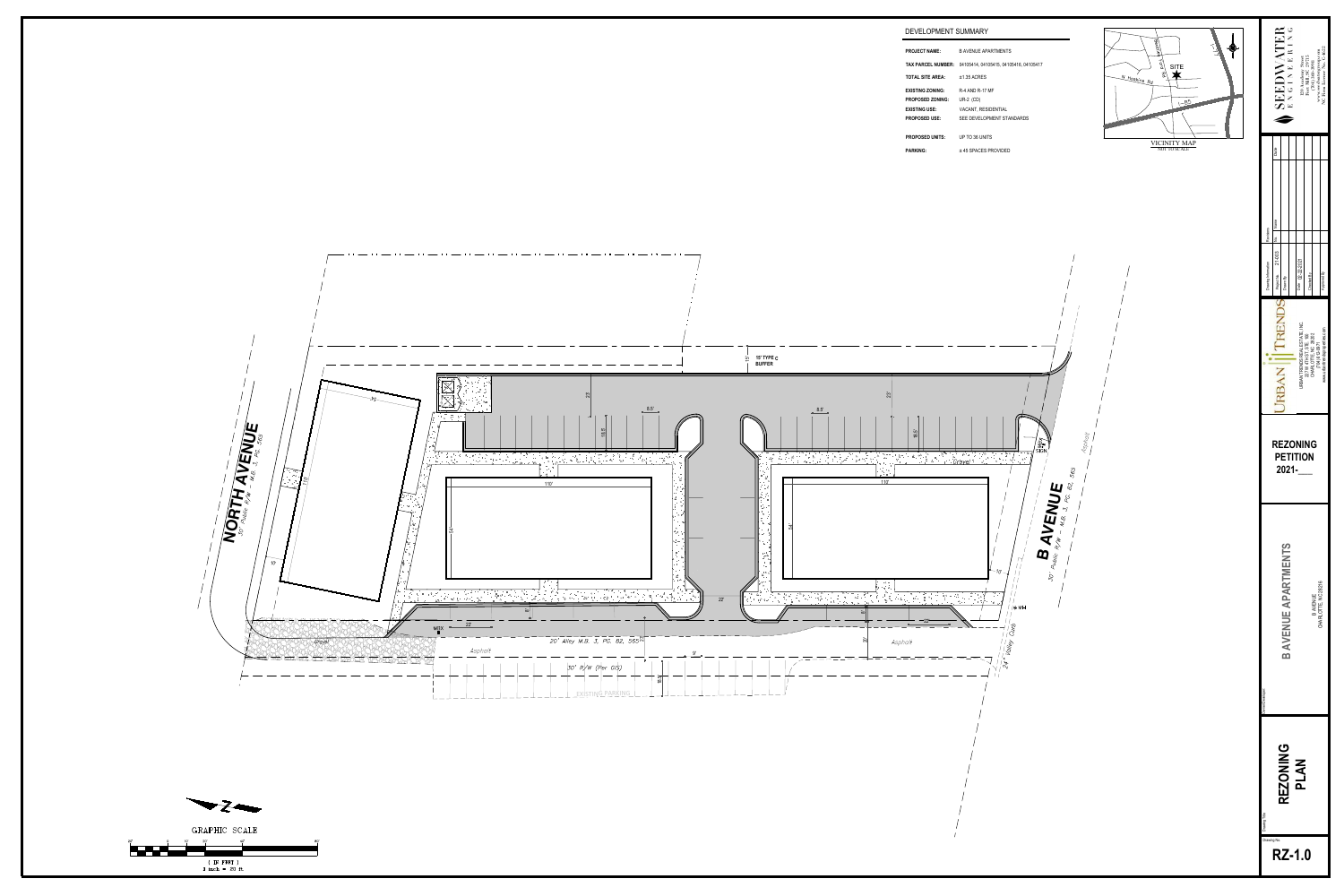